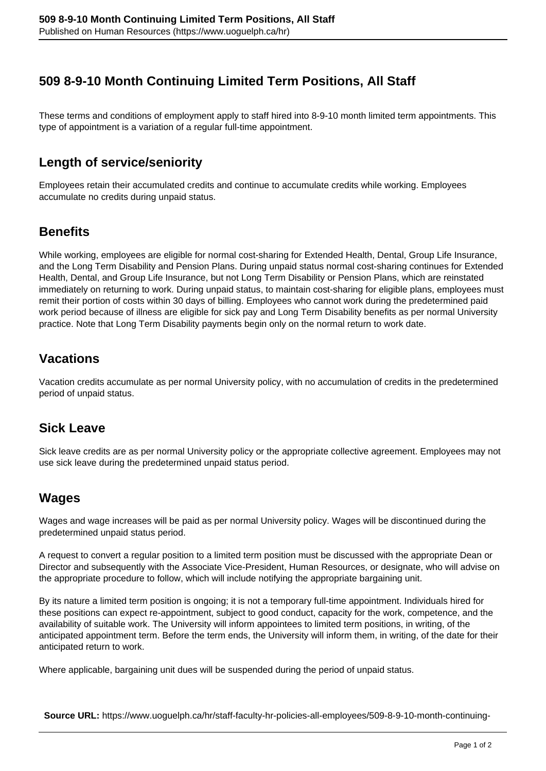# **509 8-9-10 Month Continuing Limited Term Positions, All Staff**

These terms and conditions of employment apply to staff hired into 8-9-10 month limited term appointments. This type of appointment is a variation of a regular full-time appointment.

### **Length of service/seniority**

Employees retain their accumulated credits and continue to accumulate credits while working. Employees accumulate no credits during unpaid status.

#### **Benefits**

While working, employees are eligible for normal cost-sharing for Extended Health, Dental, Group Life Insurance, and the Long Term Disability and Pension Plans. During unpaid status normal cost-sharing continues for Extended Health, Dental, and Group Life Insurance, but not Long Term Disability or Pension Plans, which are reinstated immediately on returning to work. During unpaid status, to maintain cost-sharing for eligible plans, employees must remit their portion of costs within 30 days of billing. Employees who cannot work during the predetermined paid work period because of illness are eligible for sick pay and Long Term Disability benefits as per normal University practice. Note that Long Term Disability payments begin only on the normal return to work date.

#### **Vacations**

Vacation credits accumulate as per normal University policy, with no accumulation of credits in the predetermined period of unpaid status.

# **Sick Leave**

Sick leave credits are as per normal University policy or the appropriate collective agreement. Employees may not use sick leave during the predetermined unpaid status period.

# **Wages**

Wages and wage increases will be paid as per normal University policy. Wages will be discontinued during the predetermined unpaid status period.

A request to convert a regular position to a limited term position must be discussed with the appropriate Dean or Director and subsequently with the Associate Vice-President, Human Resources, or designate, who will advise on the appropriate procedure to follow, which will include notifying the appropriate bargaining unit.

By its nature a limited term position is ongoing; it is not a temporary full-time appointment. Individuals hired for these positions can expect re-appointment, subject to good conduct, capacity for the work, competence, and the availability of suitable work. The University will inform appointees to limited term positions, in writing, of the anticipated appointment term. Before the term ends, the University will inform them, in writing, of the date for their anticipated return to work.

Where applicable, bargaining unit dues will be suspended during the period of unpaid status.

**Source URL:** https://www.uoguelph.ca/hr/staff-faculty-hr-policies-all-employees/509-8-9-10-month-continuing-